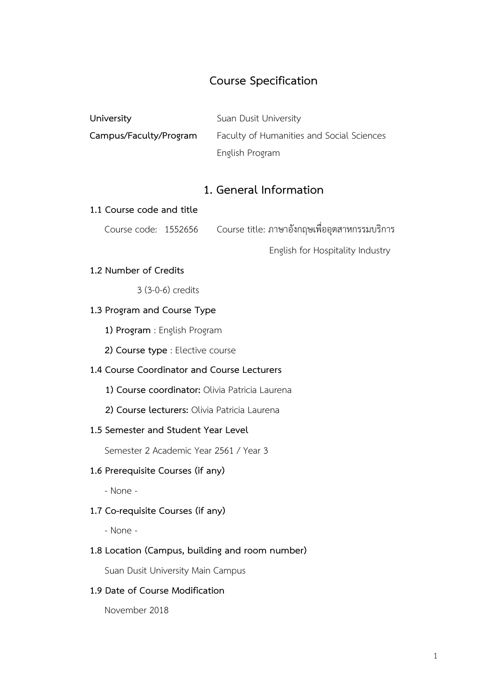# **Course Specification**

| University             | Suan Dusit University                     |
|------------------------|-------------------------------------------|
| Campus/Faculty/Program | Faculty of Humanities and Social Sciences |
|                        | English Program                           |

# **1. General Information**

#### **1.1 Course code and title**

Course code: 1552656 Course title: ภาษาอังกฤษเพื่ออุตสาหกรรมบริการ

English for Hospitality Industry

### **1.2 Number of Credits**

3 (3-0-6) credits

### **1.3 Program and Course Type**

**1) Program** : English Program

**2) Course type** : Elective course

## **1.4 Course Coordinator and Course Lecturers**

**1) Course coordinator:** Olivia Patricia Laurena

**2) Course lecturers:** Olivia Patricia Laurena

#### **1.5 Semester and Student Year Level**

Semester 2 Academic Year 2561 / Year 3

### **1.6 Prerequisite Courses (if any)**

- None -

### **1.7 Co-requisite Courses (if any)**

- None -

### **1.8 Location (Campus, building and room number)**

Suan Dusit University Main Campus

### **1.9 Date of Course Modification**

November 2018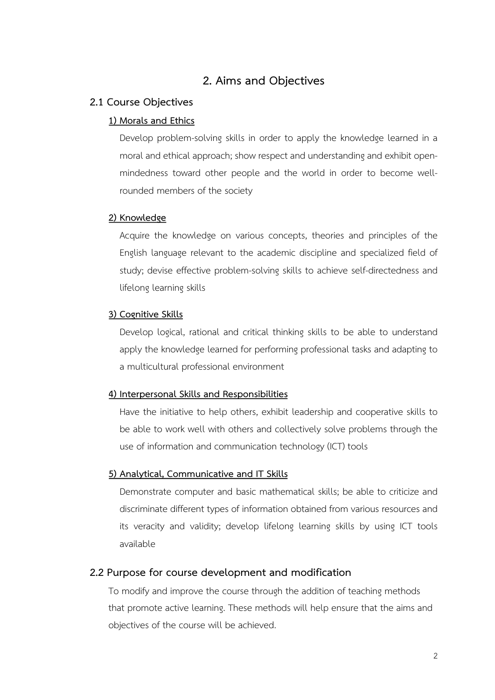## **2. Aims and Objectives**

### **2.1 Course Objectives**

### **1) Morals and Ethics**

Develop problem-solving skills in order to apply the knowledge learned in a moral and ethical approach; show respect and understanding and exhibit openmindedness toward other people and the world in order to become wellrounded members of the society

### **2) Knowledge**

Acquire the knowledge on various concepts, theories and principles of the English language relevant to the academic discipline and specialized field of study; devise effective problem-solving skills to achieve self-directedness and lifelong learning skills

#### **3) Cognitive Skills**

Develop logical, rational and critical thinking skills to be able to understand apply the knowledge learned for performing professional tasks and adapting to a multicultural professional environment

#### **4) Interpersonal Skills and Responsibilities**

Have the initiative to help others, exhibit leadership and cooperative skills to be able to work well with others and collectively solve problems through the use of information and communication technology (ICT) tools

### **5) Analytical, Communicative and IT Skills**

Demonstrate computer and basic mathematical skills; be able to criticize and discriminate different types of information obtained from various resources and its veracity and validity; develop lifelong learning skills by using ICT tools available

#### **2.2 Purpose for course development and modification**

To modify and improve the course through the addition of teaching methods that promote active learning. These methods will help ensure that the aims and objectives of the course will be achieved.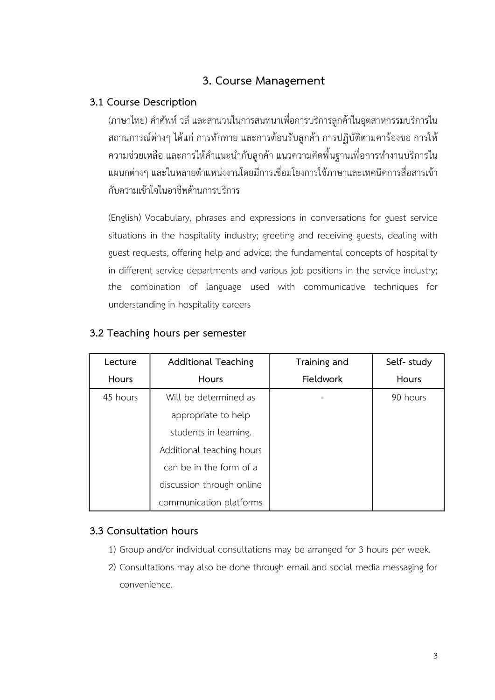# **3. Course Management**

# **3.1 Course Description**

(ภาษาไทย) คำศัพท์ วลี และสานวนในการสนทนาเพื่อการบริการลูกค้าในอุตสาหกรรมบริการใน สถานการณ์ต่างๆ ได้แก่ การทักทาย และการต้อนรับลูกค้า การปฏิบัติตามคาร้องขอ การให้ ้ความช่วยเหลือ และการให้คำแนะนำกับลูกค้า แนวความคิดพื้นฐานเพื่อการทำงานบริการใน แผนกต่างๆ และในหลายตำแหน่งงานโดยมีการเชื่อมโยงการใช้ภาษาและเทคนิคการสื่อสารเข้า กับความเข้าใจในอาชีพด้านการบริการ

(English) Vocabulary, phrases and expressions in conversations for guest service situations in the hospitality industry; greeting and receiving guests, dealing with guest requests, offering help and advice; the fundamental concepts of hospitality in different service departments and various job positions in the service industry; the combination of language used with communicative techniques for understanding in hospitality careers

| Lecture  | <b>Additional Teaching</b> | Training and | Self-study |
|----------|----------------------------|--------------|------------|
| Hours    | Hours                      | Fieldwork    | Hours      |
| 45 hours | Will be determined as      |              | 90 hours   |
|          | appropriate to help        |              |            |
|          | students in learning.      |              |            |
|          | Additional teaching hours  |              |            |
|          | can be in the form of a    |              |            |
|          | discussion through online  |              |            |
|          | communication platforms    |              |            |

## **3.2 Teaching hours per semester**

## **3.3 Consultation hours**

- 1) Group and/or individual consultations may be arranged for 3 hours per week.
- 2) Consultations may also be done through email and social media messaging for convenience.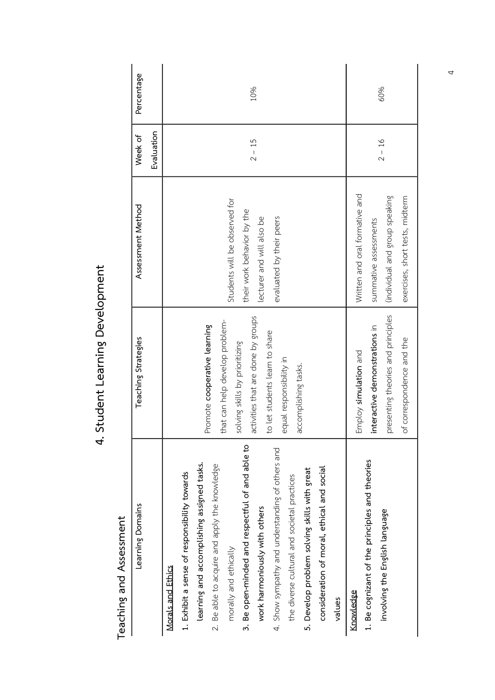| ֧֧֓֟֓֓׆<br>֧֧֧֝֝ |
|------------------|
|                  |
|                  |
|                  |
|                  |
|                  |
|                  |
|                  |
| ı<br>j           |
|                  |
| ؟<br>مار         |
|                  |
| ì                |
|                  |
|                  |
|                  |
| <u>:</u>         |
|                  |
|                  |
|                  |
|                  |

Teaching and Assessment **Teaching and Assessment** 

| Learning Domains                                                                                                                                                                                                                                                                                                                                                                                                                                                                         | Teaching Strategies                                                                                                                                                                                                         | Assessment Method                                                                                                            | Week of    | Percentage |
|------------------------------------------------------------------------------------------------------------------------------------------------------------------------------------------------------------------------------------------------------------------------------------------------------------------------------------------------------------------------------------------------------------------------------------------------------------------------------------------|-----------------------------------------------------------------------------------------------------------------------------------------------------------------------------------------------------------------------------|------------------------------------------------------------------------------------------------------------------------------|------------|------------|
|                                                                                                                                                                                                                                                                                                                                                                                                                                                                                          |                                                                                                                                                                                                                             |                                                                                                                              | Evaluation |            |
| 3. Be open-minded and respectful of and able to<br>4. Show sympathy and understanding of others and<br>learning and accomplishing assigned tasks.<br>2. Be able to acquire and apply the knowledge<br>consideration of moral, ethical and social<br>5. Develop problem solving skills with great<br>1. Exhibit a sense of responsibility towards<br>the diverse cultural and societal practices<br>work harmoniously with others<br>morally and ethically<br>Morals and Ethics<br>values | activities that are done by groups<br>that can help develop problem-<br>Promote cooperative learning<br>to let students learn to share<br>solving skills by prioritizing<br>equal responsibility in<br>accomplishing tasks. | Students will be observed for<br>their work behavior by the<br>lecturer and will also be<br>evaluated by their peers         | $2 - 15$   | 10%        |
| 1. Be cognizant of the principles and theories<br>involving the English language<br>Knowledge                                                                                                                                                                                                                                                                                                                                                                                            | presenting theories and principles<br>interactive demonstrations in<br>of correspondence and the<br>Employ simulation and                                                                                                   | Written and oral formative and<br>(individual and group speaking<br>exercises, short tests, midterm<br>summative assessments | $2 - 16$   | 60%        |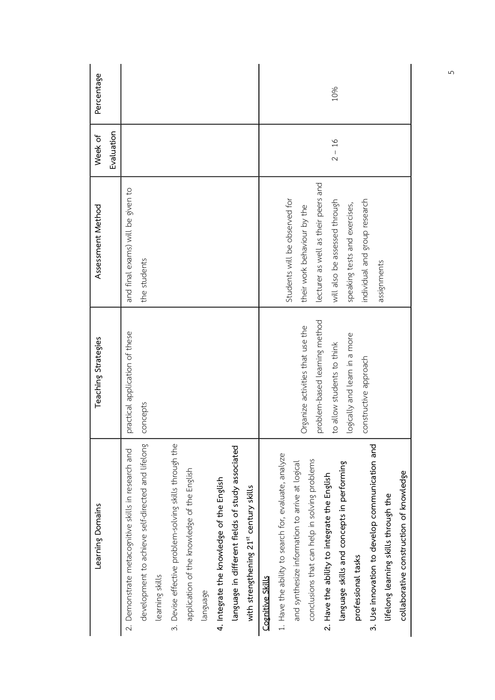| Learning Domains                                                     | Teaching Strategies              | Assessment Method                   | Week of    | Percentage |
|----------------------------------------------------------------------|----------------------------------|-------------------------------------|------------|------------|
|                                                                      |                                  |                                     | Evaluation |            |
| 2. Demonstrate metacognitive skills in research and                  | practical application of these   | and final exams) will be given to   |            |            |
| development to achieve self-directed and lifelong<br>learning skills | concepts                         | the students                        |            |            |
| 3. Devise effective problem-solving skills through the               |                                  |                                     |            |            |
| application of the knowledge of the English                          |                                  |                                     |            |            |
| language                                                             |                                  |                                     |            |            |
| 4. Integrate the knowledge of the English                            |                                  |                                     |            |            |
| language in different fields of study associated                     |                                  |                                     |            |            |
| with strengthening 21st century skills                               |                                  |                                     |            |            |
| Cognitive Skills                                                     |                                  |                                     |            |            |
| 1. Have the ability to search for, evaluate, analyze                 |                                  | Students will be observed for       |            |            |
| and synthesize information to arrive at logical                      |                                  | their work behaviour by the         |            |            |
| conclusions that can help in solving problems                        | Organize activities that use the |                                     |            |            |
| 2. Have the ability to integrate the English                         | problem-based learning method    | lecturer as well as their peers and |            |            |
| language skills and concepts in performing                           | to allow students to think       | will also be assessed through       | $2 - 16$   | 10%        |
| professional tasks                                                   | logically and learn in a more    | speaking tests and exercises,       |            |            |
| 3. Use innovation to develop communication and                       | constructive approach            | individual and group research       |            |            |
| lifelong learning skills through the                                 |                                  | assignments                         |            |            |
| collaborative construction of knowledge                              |                                  |                                     |            |            |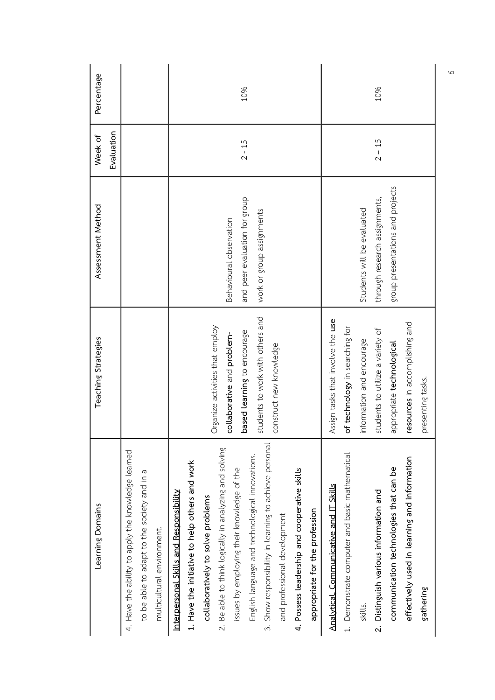| Learning Domains                                                                                                                                                                                                                                                                                                                                                                                                                                                                               | Teaching Strategies                                                                                                                                                                                                      | Assessment Method                                                                               | Week of    | Percentage |
|------------------------------------------------------------------------------------------------------------------------------------------------------------------------------------------------------------------------------------------------------------------------------------------------------------------------------------------------------------------------------------------------------------------------------------------------------------------------------------------------|--------------------------------------------------------------------------------------------------------------------------------------------------------------------------------------------------------------------------|-------------------------------------------------------------------------------------------------|------------|------------|
|                                                                                                                                                                                                                                                                                                                                                                                                                                                                                                |                                                                                                                                                                                                                          |                                                                                                 | Evaluation |            |
| 4. Have the ability to apply the knowledge learned<br>to be able to adapt to the society and in a<br>multicultural environment.                                                                                                                                                                                                                                                                                                                                                                |                                                                                                                                                                                                                          |                                                                                                 |            |            |
| 3. Show responsibility in learning to achieve personal<br>Be able to think logically in analyzing and solving<br>English language and technological innovations.<br>1. Have the initiative to help others and work<br>issues by employing their knowledge of the<br>4. Possess leadership and cooperative skills<br>Interpersonal Skills and Responsibility<br>collaboratively to solve problems<br>appropriate for the profession<br>and professional development<br>$\overline{\mathcal{N}}$ | students to work with others and<br>Organize activities that employ<br>based learning to encourage<br>collaborative and problem-<br>construct new knowledge                                                              | and peer evaluation for group<br>work or group assignments<br>Behavioural observation           | $2 - 15$   | 10%        |
| 1. Demonstrate computer and basic mathematical<br>effectively used in learning and information<br>communication technologies that can be<br><u>Analytical, Communicative and IT Skills</u><br>2. Distinguish various information and<br>gathering<br>skills.                                                                                                                                                                                                                                   | Assign tasks that involve the use<br>resources in accomplishing and<br>of technology in searching for<br>students to utilize a variety of<br>information and encourage<br>appropriate technological<br>presenting tasks. | group presentations and projects<br>through research assignments,<br>Students will be evaluated | $2 - 15$   | 10%        |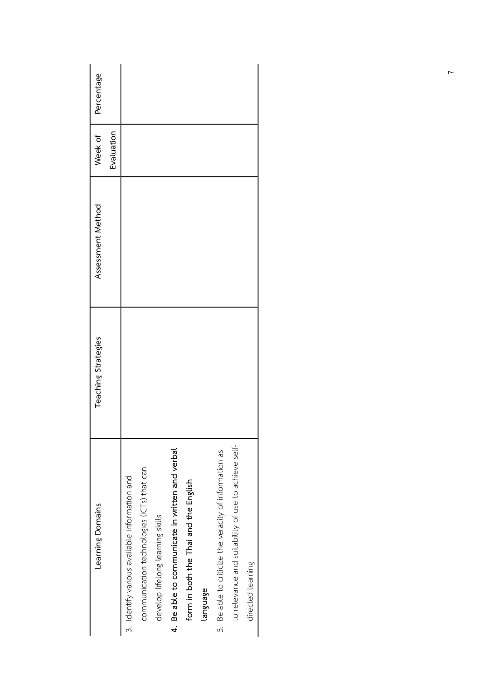| Learning Domains                                       | Teaching Strategies | Assessment Method | Week of    | Percentage |
|--------------------------------------------------------|---------------------|-------------------|------------|------------|
|                                                        |                     |                   | Evaluation |            |
| 3. Identify various available information and          |                     |                   |            |            |
| communication technologies (ICTs) that can             |                     |                   |            |            |
| develop lifelong learning skills                       |                     |                   |            |            |
| 4. Be able to communicate in written and verbal        |                     |                   |            |            |
| form in both the Thai and the English                  |                     |                   |            |            |
| language                                               |                     |                   |            |            |
| 5. Be able to criticize the veracity of information as |                     |                   |            |            |
| to relevance and suitability of use to achieve self-   |                     |                   |            |            |
| directed learning                                      |                     |                   |            |            |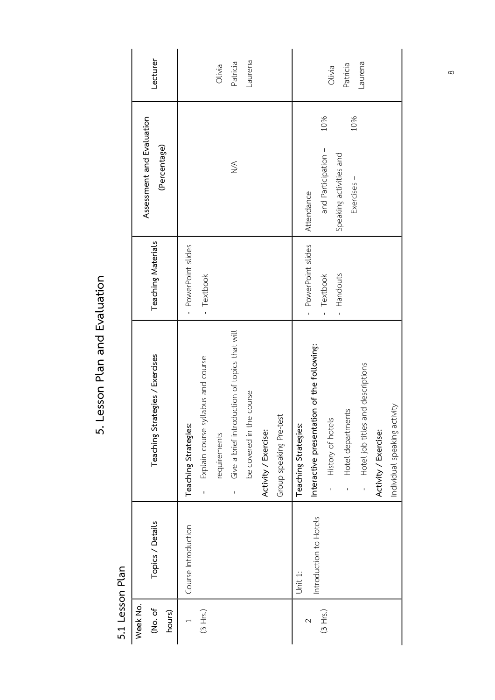| Week No.<br>(No. of<br>hours) | Topics / Details       | Teaching Strategies / Exercises                                    | <b>Teaching Materials</b>                      | Assessment and Evaluation<br>(Percentage)             | Lecturer |
|-------------------------------|------------------------|--------------------------------------------------------------------|------------------------------------------------|-------------------------------------------------------|----------|
|                               |                        |                                                                    |                                                |                                                       |          |
|                               | Course Introduction    | Teaching Strategies:                                               | PowerPoint slides                              |                                                       |          |
| (3 Hrs.)                      |                        | Explain course syllabus and course<br>$\overline{1}$               | - Textbook                                     |                                                       |          |
|                               |                        | requirements                                                       |                                                |                                                       | Olivia   |
|                               |                        | luction of topics that will<br>Give a brief introd<br>$\mathbf{I}$ |                                                | $\leq$                                                | Patricia |
|                               |                        | course<br>be covered in the                                        |                                                |                                                       | Laurena  |
|                               |                        | Activity / Exercise:                                               |                                                |                                                       |          |
|                               |                        | Group speaking Pre-test                                            |                                                |                                                       |          |
|                               | Unit 1:                | Teaching Strategies:                                               |                                                |                                                       |          |
| 2                             | Introduction to Hotels | Interactive presentation of the following:                         | PowerPoint slides<br>$\bar{1}$                 | Attendance                                            |          |
| (3 Hrs.)                      |                        | History of hotels<br>$\overline{1}$                                | Textbook<br>Handouts<br>$\bar{1}$<br>$\bar{1}$ | 10%<br>and Participation -<br>Speaking activities and | Olivia   |
|                               |                        | Hotel departments                                                  |                                                | 10%<br>Exercises -                                    | Patricia |
|                               |                        | Hotel job titles and descriptions                                  |                                                |                                                       | Laurena  |
|                               |                        | Activity / Exercise:                                               |                                                |                                                       |          |
|                               |                        | Individual speaking activity                                       |                                                |                                                       |          |

5. Lesson Plan and Evaluation **5. Lesson Plan and Evaluation** 

> 5.1 Lesson Plan **5.1 Lesson Plan**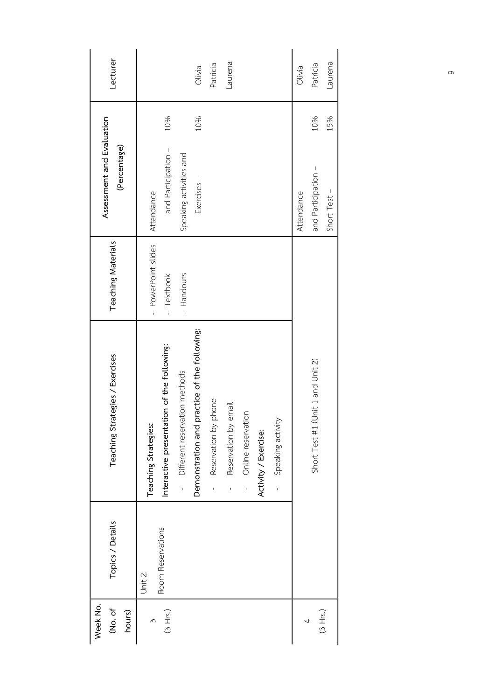| Week No.<br>(No. of<br>hours) | Topics / Details             | Teaching Strategies / Exercises                                                                    | <b>Teaching Materials</b>                    | Assessment and Evaluation<br>(Percentage) |     | Lecturer |
|-------------------------------|------------------------------|----------------------------------------------------------------------------------------------------|----------------------------------------------|-------------------------------------------|-----|----------|
| (3 Hrs.)<br>3                 | Room Reservations<br>Unit 2: | Interactive presentation of the following:<br>Teaching Strategies:                                 | - PowerPoint slides<br>Textbook<br>$\bar{1}$ | and Participation -<br>Attendance         | 10% |          |
|                               |                              | practice of the following:<br>Different reservation methods<br>Demonstration and<br>$\overline{1}$ | Handouts<br>ï                                | Speaking activities and<br>Exercises -    | 10% | Olivia   |
|                               |                              | phone<br>Reservation by<br>$\overline{1}$                                                          |                                              |                                           |     | Patricia |
|                               |                              | email<br>Reservation by<br>$\mathbf{I}$                                                            |                                              |                                           |     | Laurena  |
|                               |                              | - Online reservation                                                                               |                                              |                                           |     |          |
|                               |                              | Activity / Exercise:                                                                               |                                              |                                           |     |          |
|                               |                              | Speaking activity<br>$\overline{1}$                                                                |                                              |                                           |     |          |
| 4                             |                              |                                                                                                    |                                              | Attendance                                |     | Olivia   |
| (3 Hrs.)                      |                              | (Unit 1 and Unit 2)<br>Short Test #1                                                               |                                              | and Participation -                       | 10% | Patricia |
|                               |                              |                                                                                                    |                                              | Short Test -                              | 15% | Laurena  |
|                               |                              |                                                                                                    |                                              |                                           |     |          |

 $\circ$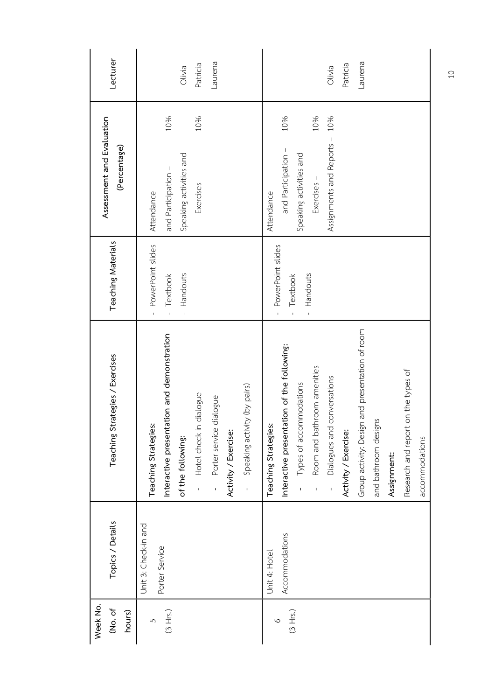| Lecturer                                  | Laurena<br>Patricia<br>Olivia                                                                                                                                                                                                 | Laurena<br>Patricia<br>Olivia                                                                                                                                                                                                                                                                                                                                                          |
|-------------------------------------------|-------------------------------------------------------------------------------------------------------------------------------------------------------------------------------------------------------------------------------|----------------------------------------------------------------------------------------------------------------------------------------------------------------------------------------------------------------------------------------------------------------------------------------------------------------------------------------------------------------------------------------|
| Assessment and Evaluation<br>(Percentage) | 10%<br>10%<br>Speaking activities and<br>and Participation -<br>Exercises -                                                                                                                                                   | 10%<br>10%<br>10%<br>Assignments and Reports -<br>and Participation -<br>Speaking activities and<br>Exercises -                                                                                                                                                                                                                                                                        |
|                                           | Attendance                                                                                                                                                                                                                    | Attendance                                                                                                                                                                                                                                                                                                                                                                             |
| <b>Teaching Materials</b>                 | PowerPoint slides<br>Handouts<br>Textbook<br>$\bar{1}$<br>$\overline{1}$<br>$\bar{1}$                                                                                                                                         | PowerPoint slides<br>Handouts<br>Textbook<br>$\bar{1}$<br>$\bar{\bar{1}}$<br>$\bar{1}$                                                                                                                                                                                                                                                                                                 |
| Teaching Strategies / Exercises           | Interactive presentation and demonstration<br>- Speaking activity (by pairs)<br>dialogue<br>Porter service dialogue<br>Teaching Strategies:<br>- Hotel check-in<br>Activity / Exercise:<br>of the following:<br>$\frac{1}{1}$ | Group activity: Design and presentation of room<br>Interactive presentation of the following:<br>Room and bathroom amenities<br>on the types of<br>conversations<br>Types of accommodations<br>and bathroom designs<br>Teaching Strategies:<br>Research and report<br>Dialogues and<br>Activity / Exercise:<br>accommodations<br>Assignment:<br>$\overline{1}$<br>$\overline{1}$<br>T, |
| Topics / Details                          | Unit 3: Check-in and<br>Porter Service                                                                                                                                                                                        | Accommodations<br>Unit 4: Hotel                                                                                                                                                                                                                                                                                                                                                        |
| Week No.<br>(No. of<br>hours)             | (3 Hrs.)<br>5                                                                                                                                                                                                                 | (3 Hrs.)<br>$\circ$                                                                                                                                                                                                                                                                                                                                                                    |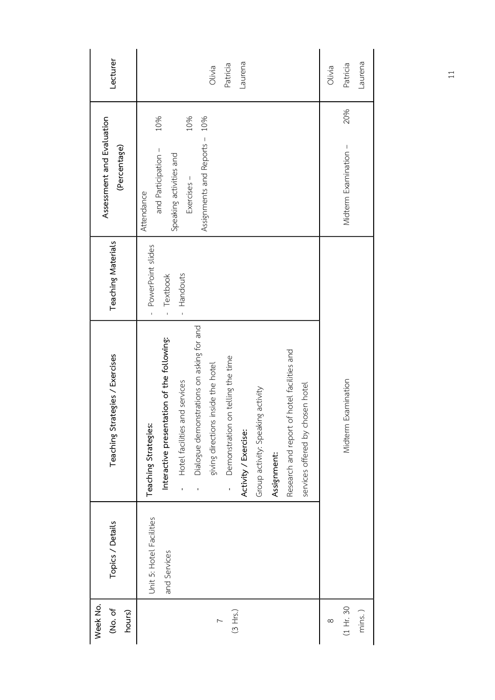| Lecturer                                  | Laurena<br>Patricia<br>Olivia                                                                                                                                                                                                                                                                                                                                                                                     | Laurena<br>Patricia<br>Olivia |  |
|-------------------------------------------|-------------------------------------------------------------------------------------------------------------------------------------------------------------------------------------------------------------------------------------------------------------------------------------------------------------------------------------------------------------------------------------------------------------------|-------------------------------|--|
| Assessment and Evaluation<br>(Percentage) | 10%<br>10%<br>10%<br>Assignments and Reports -<br>and Participation -<br>Speaking activities and<br>Exercises -<br>Attendance                                                                                                                                                                                                                                                                                     | 20%<br>Midterm Examination -  |  |
| Teaching Materials                        | PowerPoint slides<br>- Textbook<br>Handouts<br>$\bar{1}$<br>$\bar{1}$                                                                                                                                                                                                                                                                                                                                             |                               |  |
| Teaching Strategies / Exercises           | Dialogue demonstrations on asking for and<br>Interactive presentation of the following:<br>Research and report of hotel facilities and<br>on telling the time<br>giving directions inside the hotel<br>- Hotel facilities and services<br>services offered by chosen hotel<br>Group activity: Speaking activity<br>Teaching Strategies:<br>- Demonstration<br>Activity / Exercise:<br>Assignment:<br>$\mathbf{I}$ | Examination<br>Midterm        |  |
| Topics / Details                          | Unit 5: Hotel Facilities<br>and Services                                                                                                                                                                                                                                                                                                                                                                          |                               |  |
| Week No.<br>(No. of<br>hours)             | (3 Hrs.)<br>$\overline{ }$                                                                                                                                                                                                                                                                                                                                                                                        | (1 Hr. 30)<br>mins.)<br>∞     |  |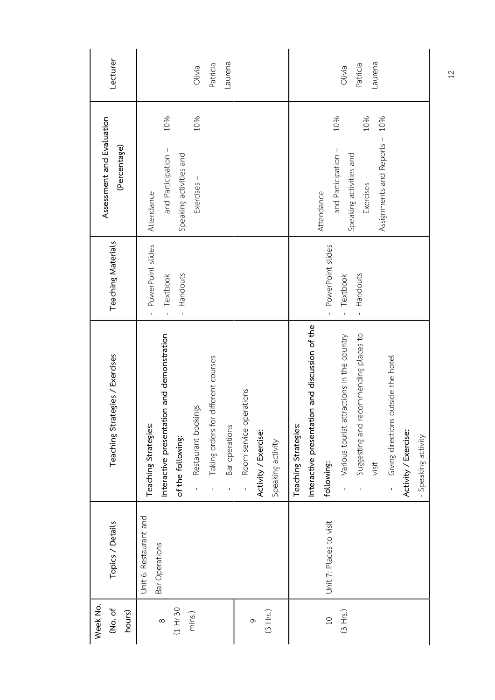| Lecturer                                  | Laurena<br>Patricia<br>Olivia                                                                                                                                                                                                                                                                      | Laurena<br>Patricia<br>Olivia                                                                                                                                                                                                                                                    |
|-------------------------------------------|----------------------------------------------------------------------------------------------------------------------------------------------------------------------------------------------------------------------------------------------------------------------------------------------------|----------------------------------------------------------------------------------------------------------------------------------------------------------------------------------------------------------------------------------------------------------------------------------|
| Assessment and Evaluation<br>(Percentage) | 10%<br>10%<br>and Participation -<br>Speaking activities and<br>Exercises -<br>Attendance                                                                                                                                                                                                          | 10%<br>10%<br>10%<br>Assignments and Reports -<br>and Participation -<br>Speaking activities and<br>Exercises -<br>Attendance                                                                                                                                                    |
| Teaching Materials                        | PowerPoint slides<br>Handouts<br>Textbook                                                                                                                                                                                                                                                          | PowerPoint slides<br>Handouts<br>Textbook<br>$\bar{\rm I}$<br>$\mathbf{I}$                                                                                                                                                                                                       |
| Teaching Strategies / Exercises           | Interactive presentation and demonstration<br>Taking orders for different courses<br>operations<br>Restaurant bookings<br>Teaching Strategies<br>Bar operations<br>Room service<br>Activity / Exercise:<br>of the following:<br>Speaking activity<br>$\overline{1}$<br>$\mathbf{r}$<br>$\mathbf I$ | Interactive presentation and discussion of the<br>Suggesting and recommending places to<br>attractions in the country<br>- Giving directions outside the hotel<br>Teaching Strategies<br>- Various tourist<br>Activity / Exercise:<br>- Speaking activity<br>following:<br>visit |
| Topics / Details                          | Unit 6: Restaurant and<br>Bar Operations                                                                                                                                                                                                                                                           | Unit 7: Places to visit                                                                                                                                                                                                                                                          |
| Week No.<br>(No. of<br>hours)             | (1 Hr 30<br>mins.)<br>(3 Hrs.)<br>$\infty$<br>$\circ$                                                                                                                                                                                                                                              | (3 Hrs.)<br>$\overline{C}$                                                                                                                                                                                                                                                       |

 $\mathfrak{c}$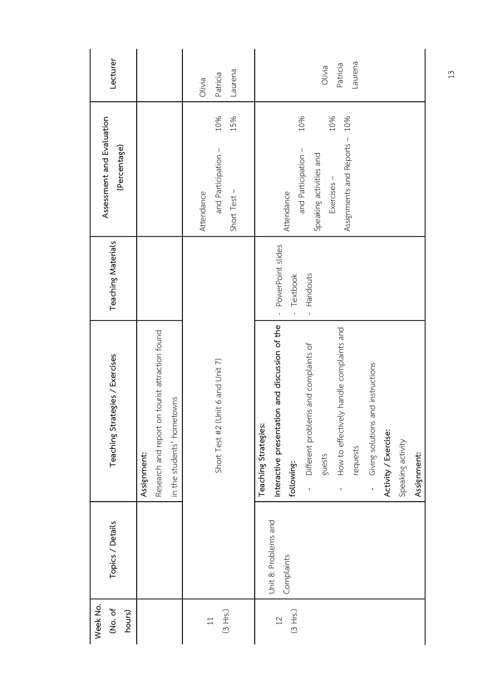| Lecturer                                  |                                                                                                 | Laurena<br>Patricia<br>Olivia                                   | Laurena<br>Patricia<br>Olivia                                                                                                                                                                                                                                                                                         |
|-------------------------------------------|-------------------------------------------------------------------------------------------------|-----------------------------------------------------------------|-----------------------------------------------------------------------------------------------------------------------------------------------------------------------------------------------------------------------------------------------------------------------------------------------------------------------|
| Assessment and Evaluation<br>(Percentage) |                                                                                                 | 10%<br>15%<br>and Participation -<br>Short Test -<br>Attendance | 10%<br>10%<br>10%<br>Assignments and Reports -<br>and Participation -<br>Speaking activities and<br>Exercises -<br>Attendance                                                                                                                                                                                         |
| Teaching Materials                        |                                                                                                 |                                                                 | - PowerPoint slides<br>Handouts<br>Textbook<br>$\bar{1}$<br>Ĭ.                                                                                                                                                                                                                                                        |
| Teaching Strategies / Exercises           | on tourist attraction found<br>in the students' hometowns<br>Research and report<br>Assignment: | (Unit 6 and Unit 7)<br>Short Test #2                            | Interactive presentation and discussion of the<br>How to effectively handle complaints and<br>- Different problems and complaints of<br>and instructions<br>Giving solutions<br>Teaching Strategies:<br>Activity / Exercise:<br>Speaking activity<br>requests<br>Assignment:<br>guests<br>following:<br>$\frac{1}{1}$ |
| Topics / Details                          |                                                                                                 |                                                                 | Unit 8: Problems and<br>Complaints                                                                                                                                                                                                                                                                                    |
| Week No.<br>(No. of<br>hours)             |                                                                                                 | (3 Hrs.)<br>$\overline{11}$                                     | (3 Hrs.)<br>12                                                                                                                                                                                                                                                                                                        |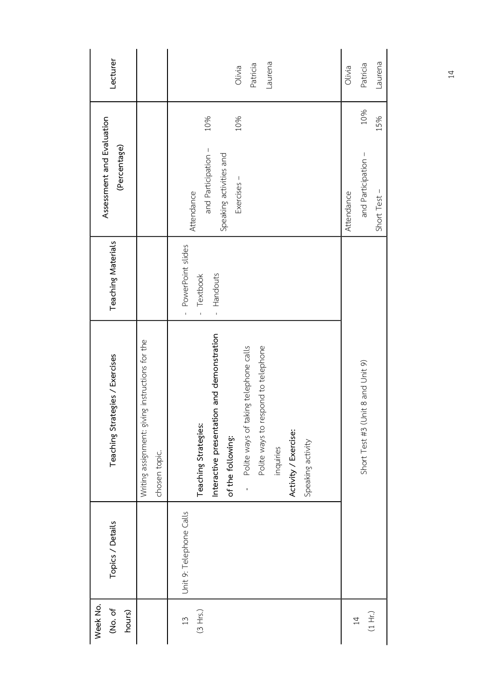| Lecturer                                  |                                                                  | Laurena<br>Patricia<br>Olivia                                                                                                                                                                                                              | Olivia     | Laurena<br>Patricia                 |  |
|-------------------------------------------|------------------------------------------------------------------|--------------------------------------------------------------------------------------------------------------------------------------------------------------------------------------------------------------------------------------------|------------|-------------------------------------|--|
|                                           |                                                                  | 10%<br>10%                                                                                                                                                                                                                                 |            | 10%<br>15%                          |  |
| Assessment and Evaluation<br>(Percentage) |                                                                  | and Participation -<br>Speaking activities and<br>Exercises -<br>Attendance                                                                                                                                                                | Attendance | and Participation -<br>Short Test - |  |
| Teaching Materials                        |                                                                  | - PowerPoint slides<br>- Handouts<br>Textbook<br>$\bar{1}$                                                                                                                                                                                 |            |                                     |  |
| Teaching Strategies / Exercises           | Writing assignment: giving instructions for the<br>chosen topic. | Interactive presentation and demonstration<br>respond to telephone<br>Polite ways of taking telephone calls<br>Teaching Strategies:<br>Polite ways to<br>Activity / Exercise:<br>of the following:<br>Speaking activity<br>inquiries<br>í, |            | Short Test #3 (Unit 8 and Unit 9)   |  |
| Topics / Details                          |                                                                  | Unit 9: Telephone Calls                                                                                                                                                                                                                    |            |                                     |  |
| Week No.<br>(No. of<br>hours)             |                                                                  | (3 Hrs.)<br>13                                                                                                                                                                                                                             |            | (1 Hr.)<br>$\overline{4}$           |  |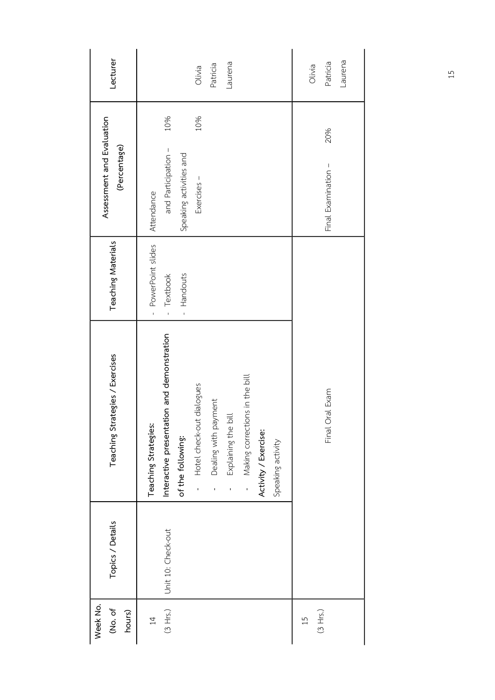| Lecturer                                  | Laurena<br>Patricia<br>Olivia                                                                                                                                                                                                                                                          | Laurena<br>Patricia<br>Olivia |
|-------------------------------------------|----------------------------------------------------------------------------------------------------------------------------------------------------------------------------------------------------------------------------------------------------------------------------------------|-------------------------------|
|                                           | 10%<br>10%                                                                                                                                                                                                                                                                             | 20%                           |
| Assessment and Evaluation<br>(Percentage) | and Participation -<br>Speaking activities and<br>Exercises -<br>Attendance                                                                                                                                                                                                            | Final Examination -           |
| Teaching Materials                        | - PowerPoint slides<br>Textbook<br>Handouts<br>$\bar{1}$<br>$\bar{1}$                                                                                                                                                                                                                  |                               |
| Teaching Strategies / Exercises           | Interactive presentation and demonstration<br>Making corrections in the bill<br>Hotel check-out dialogues<br>Dealing with payment<br>Explaining the bill<br>Teaching Strategies:<br>Activity / Exercise:<br>of the following:<br>Speaking activity<br>$\overline{1}$<br>$\overline{1}$ | Final Oral Exam               |
| Topics / Details                          | Unit 10: Check-out                                                                                                                                                                                                                                                                     |                               |
| Week No.<br>(No. of<br>hours)             | (3 Hrs.)<br>$\overline{4}$                                                                                                                                                                                                                                                             | (3 Hrs.)<br>15                |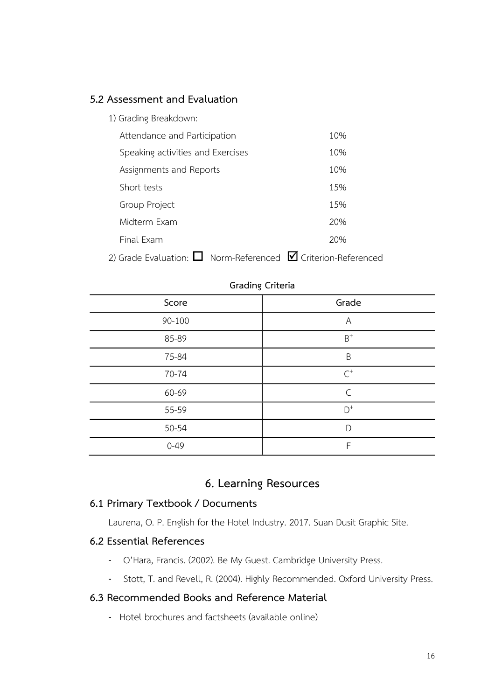### **5.2 Assessment and Evaluation**

| 1) Grading Breakdown:                                                   |     |
|-------------------------------------------------------------------------|-----|
| Attendance and Participation                                            | 10% |
| Speaking activities and Exercises                                       | 10% |
| Assignments and Reports                                                 | 10% |
| Short tests                                                             | 15% |
| Group Project                                                           | 15% |
| Midterm Exam                                                            | 20% |
| Final Exam                                                              | 20% |
| 2) Grade Evaluation: $\Box$ Norm-Referenced $\Box$ Criterion-Referenced |     |

| $-$      |                |  |
|----------|----------------|--|
| Score    | Grade          |  |
| 90-100   | A              |  |
| 85-89    | $\mathsf{B}^+$ |  |
| 75-84    | B              |  |
| 70-74    | $\mathsf{C}^+$ |  |
| 60-69    | $\mathsf{C}$   |  |
| 55-59    | $\mathsf{D}^+$ |  |
| 50-54    | D              |  |
| $0 - 49$ | F              |  |

### **Grading Criteria**

# **6. Learning Resources**

### **6.1 Primary Textbook / Documents**

Laurena, O. P. English for the Hotel Industry. 2017. Suan Dusit Graphic Site.

## **6.2 Essential References**

- O'Hara, Francis. (2002). Be My Guest. Cambridge University Press.
- Stott, T. and Revell, R. (2004). Highly Recommended. Oxford University Press.

## **6.3 Recommended Books and Reference Material**

- Hotel brochures and factsheets (available online)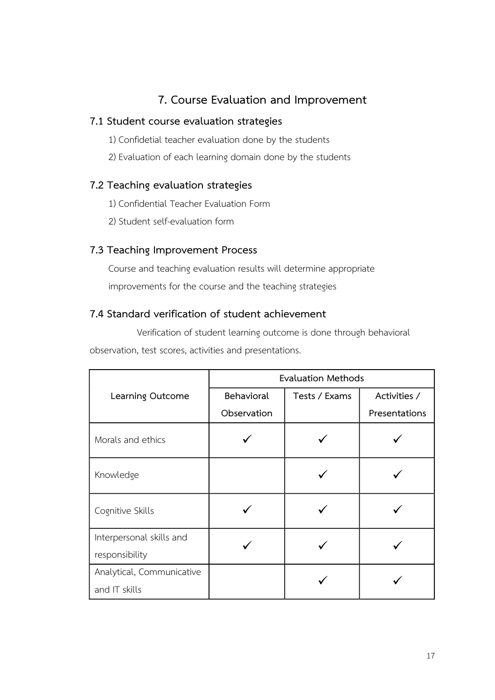# **7. Course Evaluation and Improvement**

## **7.1 Student course evaluation strategies**

- 1) Confidetial teacher evaluation done by the students
- 2) Evaluation of each learning domain done by the students

## **7.2 Teaching evaluation strategies**

- 1) Confidential Teacher Evaluation Form
- 2) Student self-evaluation form

## **7.3 Teaching Improvement Process**

Course and teaching evaluation results will determine appropriate improvements for the course and the teaching strategies

## **7.4 Standard verification of student achievement**

Verification of student learning outcome is done through behavioral observation, test scores, activities and presentations.

|                           | <b>Evaluation Methods</b> |               |               |  |
|---------------------------|---------------------------|---------------|---------------|--|
| Learning Outcome          | Behavioral                | Tests / Exams | Activities /  |  |
|                           | Observation               |               | Presentations |  |
| Morals and ethics         |                           |               |               |  |
| Knowledge                 |                           |               |               |  |
| Cognitive Skills          |                           |               |               |  |
| Interpersonal skills and  |                           |               |               |  |
| responsibility            |                           |               |               |  |
| Analytical, Communicative |                           |               |               |  |
| and IT skills             |                           |               |               |  |